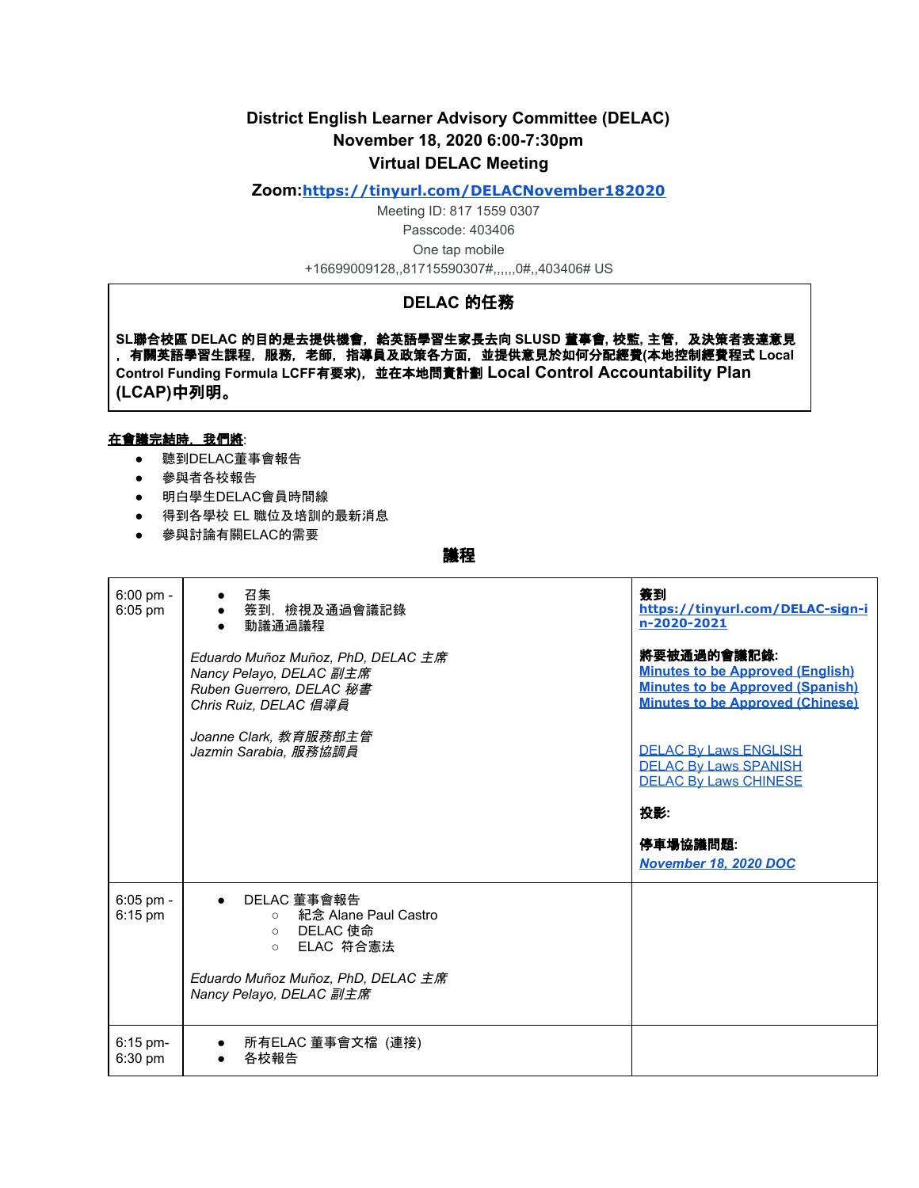# **District English Learner Advisory Committee (DELAC) November 18, 2020 6:00-7:30pm Virtual DELAC Meeting**

### **Zoom:<https://tinyurl.com/DELACNovember182020>**

Meeting ID: 817 1559 0307 Passcode: 403406 One tap mobile +16699009128,,81715590307#,,,,,,0#,,403406# US

# **DELAC** 的任務

**SL**聯合校區 **DELAC** 的目的是去提供機會,給英語學習生家長去向 **SLUSD** 董事會**,** 校監**,** 主管,及決策者表達意見 ,有關英語學習生課程,服務,老師,指導員及政策各方面,並提供意見於如何分配經費**(**本地控制經費程式 **Local Control Funding Formula LCFF**有要求**)**,並在本地問責計劃 **Local Control Accountability Plan (LCAP)**中列明。

#### 在會議完結時,我們將:

- 聽到DELAC董事會報告
- 參與者各校報告
- 明白學生DELAC會員時間線
- 得到各學校 EL 職位及培訓的最新消息
- 參與討論有關ELAC的需要

## 議程

| $6:00$ pm -<br>6:05 pm   | 召集<br>● 簽到, 檢視及通過會議記錄<br>● 動議通過議程                                                                                                                       | 簽到<br>https://tinyurl.com/DELAC-sign-i<br>n-2020-2021                                                                                        |
|--------------------------|---------------------------------------------------------------------------------------------------------------------------------------------------------|----------------------------------------------------------------------------------------------------------------------------------------------|
|                          | Eduardo Muñoz Muñoz, PhD, DELAC 主席<br>Nancy Pelayo, DELAC 副主席<br>Ruben Guerrero, DELAC 秘書<br>Chris Ruiz, DELAC 倡導員                                      | 將要被通過的會議記錄:<br><b>Minutes to be Approved (English)</b><br><b>Minutes to be Approved (Spanish)</b><br><b>Minutes to be Approved (Chinese)</b> |
|                          | Joanne Clark, 教育服務部主管<br>Jazmin Sarabia, 服務協調員                                                                                                          | <b>DELAC By Laws ENGLISH</b><br><b>DELAC By Laws SPANISH</b><br><b>DELAC By Laws CHINESE</b><br>投影:                                          |
|                          |                                                                                                                                                         | 停車場協議問題:<br>November 18, 2020 DOC                                                                                                            |
| $6:05$ pm -<br>$6:15$ pm | ● DELAC 董事會報告<br>○ 紀念 Alane Paul Castro<br>DELAC 使命<br>$\circ$<br>ELAC 符合憲法<br>$\circ$<br>Eduardo Muñoz Muñoz, PhD, DELAC 主席<br>Nancy Pelayo, DELAC 副主席 |                                                                                                                                              |
| $6:15$ pm-<br>6:30 pm    | ● 所有ELAC 董事會文檔 (連接)<br>各校報告<br>$\bullet$                                                                                                                |                                                                                                                                              |